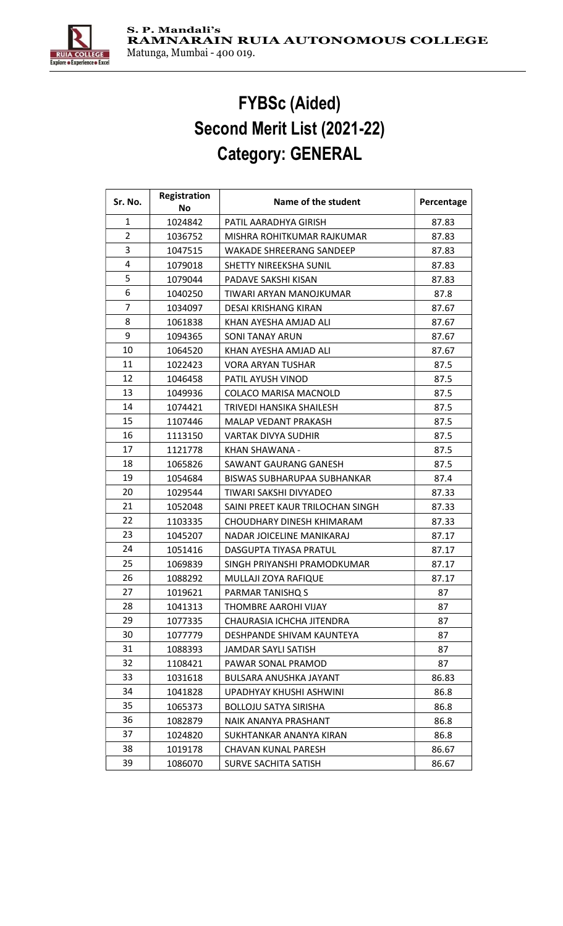

## FYBSc (Aided) Second Merit List (2021-22) Category: GENERAL

| Sr. No.        | Registration | Name of the student              | Percentage |
|----------------|--------------|----------------------------------|------------|
|                | No           |                                  |            |
| 1              | 1024842      | PATIL AARADHYA GIRISH            | 87.83      |
| $\overline{2}$ | 1036752      | MISHRA ROHITKUMAR RAJKUMAR       | 87.83      |
| 3              | 1047515      | <b>WAKADE SHREERANG SANDEEP</b>  | 87.83      |
| 4              | 1079018      | SHETTY NIREEKSHA SUNIL           | 87.83      |
| 5              | 1079044      | PADAVE SAKSHI KISAN              | 87.83      |
| 6              | 1040250      | TIWARI ARYAN MANOJKUMAR          | 87.8       |
| 7              | 1034097      | DESAI KRISHANG KIRAN             | 87.67      |
| 8              | 1061838      | KHAN AYESHA AMJAD ALI            | 87.67      |
| 9              | 1094365      | <b>SONI TANAY ARUN</b>           | 87.67      |
| 10             | 1064520      | KHAN AYESHA AMJAD ALI            | 87.67      |
| 11             | 1022423      | <b>VORA ARYAN TUSHAR</b>         | 87.5       |
| 12             | 1046458      | PATIL AYUSH VINOD                | 87.5       |
| 13             | 1049936      | COLACO MARISA MACNOLD            | 87.5       |
| 14             | 1074421      | TRIVEDI HANSIKA SHAILESH         | 87.5       |
| 15             | 1107446      | MALAP VEDANT PRAKASH             | 87.5       |
| 16             | 1113150      | <b>VARTAK DIVYA SUDHIR</b>       | 87.5       |
| 17             | 1121778      | KHAN SHAWANA -                   | 87.5       |
| 18             | 1065826      | SAWANT GAURANG GANESH            | 87.5       |
| 19             | 1054684      | BISWAS SUBHARUPAA SUBHANKAR      | 87.4       |
| 20             | 1029544      | TIWARI SAKSHI DIVYADEO           | 87.33      |
| 21             | 1052048      | SAINI PREET KAUR TRILOCHAN SINGH | 87.33      |
| 22             | 1103335      | CHOUDHARY DINESH KHIMARAM        | 87.33      |
| 23             | 1045207      | NADAR JOICELINE MANIKARAJ        | 87.17      |
| 24             | 1051416      | DASGUPTA TIYASA PRATUL           | 87.17      |
| 25             | 1069839      | SINGH PRIYANSHI PRAMODKUMAR      | 87.17      |
| 26             | 1088292      | MULLAJI ZOYA RAFIQUE             | 87.17      |
| 27             | 1019621      | PARMAR TANISHQ S                 | 87         |
| 28             | 1041313      | THOMBRE AAROHI VIJAY             | 87         |
| 29             | 1077335      | CHAURASIA ICHCHA JITENDRA        | 87         |
| 30             | 1077779      | DESHPANDE SHIVAM KAUNTEYA        | 87         |
| 31             | 1088393      | <b>JAMDAR SAYLI SATISH</b>       | 87         |
| 32             | 1108421      | PAWAR SONAL PRAMOD               | 87         |
| 33             | 1031618      | BULSARA ANUSHKA JAYANT           | 86.83      |
| 34             | 1041828      | UPADHYAY KHUSHI ASHWINI          | 86.8       |
| 35             | 1065373      | <b>BOLLOJU SATYA SIRISHA</b>     | 86.8       |
| 36             | 1082879      | NAIK ANANYA PRASHANT             | 86.8       |
| 37             | 1024820      | SUKHTANKAR ANANYA KIRAN          | 86.8       |
| 38             | 1019178      | <b>CHAVAN KUNAL PARESH</b>       | 86.67      |
| 39             | 1086070      | SURVE SACHITA SATISH             | 86.67      |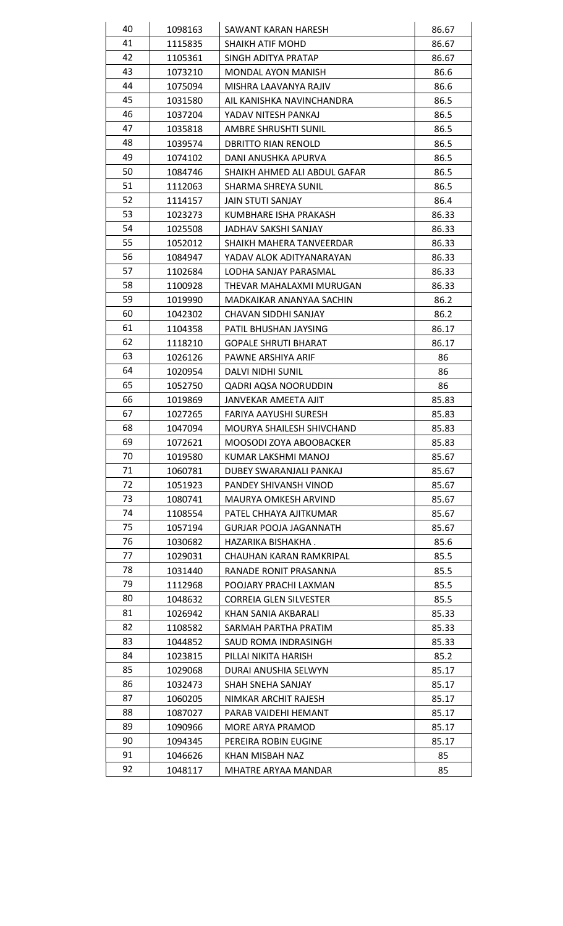| 40 | 1098163 | SAWANT KARAN HARESH           | 86.67 |
|----|---------|-------------------------------|-------|
| 41 | 1115835 | SHAIKH ATIF MOHD              | 86.67 |
| 42 | 1105361 | SINGH ADITYA PRATAP           | 86.67 |
| 43 | 1073210 | <b>MONDAL AYON MANISH</b>     | 86.6  |
| 44 | 1075094 | MISHRA LAAVANYA RAJIV         | 86.6  |
| 45 | 1031580 | AIL KANISHKA NAVINCHANDRA     | 86.5  |
| 46 | 1037204 | YADAV NITESH PANKAJ           | 86.5  |
| 47 | 1035818 | AMBRE SHRUSHTI SUNIL          | 86.5  |
| 48 | 1039574 | <b>DBRITTO RIAN RENOLD</b>    | 86.5  |
| 49 | 1074102 | DANI ANUSHKA APURVA           | 86.5  |
| 50 | 1084746 | SHAIKH AHMED ALI ABDUL GAFAR  | 86.5  |
| 51 | 1112063 | SHARMA SHREYA SUNIL           | 86.5  |
| 52 | 1114157 | <b>JAIN STUTI SANJAY</b>      | 86.4  |
| 53 | 1023273 | KUMBHARE ISHA PRAKASH         | 86.33 |
| 54 | 1025508 | JADHAV SAKSHI SANJAY          | 86.33 |
| 55 | 1052012 | SHAIKH MAHERA TANVEERDAR      | 86.33 |
| 56 | 1084947 | YADAV ALOK ADITYANARAYAN      | 86.33 |
| 57 | 1102684 | LODHA SANJAY PARASMAL         | 86.33 |
| 58 | 1100928 | THEVAR MAHALAXMI MURUGAN      | 86.33 |
| 59 | 1019990 | MADKAIKAR ANANYAA SACHIN      | 86.2  |
| 60 | 1042302 | CHAVAN SIDDHI SANJAY          | 86.2  |
| 61 | 1104358 | PATIL BHUSHAN JAYSING         | 86.17 |
| 62 | 1118210 | <b>GOPALE SHRUTI BHARAT</b>   | 86.17 |
| 63 | 1026126 | PAWNE ARSHIYA ARIF            | 86    |
| 64 | 1020954 | DALVI NIDHI SUNIL             | 86    |
| 65 | 1052750 | QADRI AQSA NOORUDDIN          | 86    |
| 66 | 1019869 | JANVEKAR AMEETA AJIT          | 85.83 |
| 67 | 1027265 | FARIYA AAYUSHI SURESH         | 85.83 |
| 68 | 1047094 | MOURYA SHAILESH SHIVCHAND     | 85.83 |
| 69 | 1072621 | MOOSODI ZOYA ABOOBACKER       | 85.83 |
| 70 | 1019580 | KUMAR LAKSHMI MANOJ           | 85.67 |
| 71 | 1060781 | DUBEY SWARANJALI PANKAJ       | 85.67 |
| 72 | 1051923 | PANDEY SHIVANSH VINOD         | 85.67 |
| 73 | 1080741 | MAURYA OMKESH ARVIND          | 85.67 |
| 74 | 1108554 | PATEL CHHAYA AJITKUMAR        | 85.67 |
| 75 | 1057194 | <b>GURJAR POOJA JAGANNATH</b> | 85.67 |
| 76 | 1030682 | HAZARIKA BISHAKHA.            | 85.6  |
| 77 | 1029031 | CHAUHAN KARAN RAMKRIPAL       | 85.5  |
| 78 | 1031440 | RANADE RONIT PRASANNA         | 85.5  |
| 79 | 1112968 | POOJARY PRACHI LAXMAN         | 85.5  |
| 80 | 1048632 | <b>CORREIA GLEN SILVESTER</b> | 85.5  |
| 81 | 1026942 | KHAN SANIA AKBARALI           | 85.33 |
| 82 | 1108582 | SARMAH PARTHA PRATIM          | 85.33 |
| 83 | 1044852 | SAUD ROMA INDRASINGH          | 85.33 |
| 84 | 1023815 | PILLAI NIKITA HARISH          | 85.2  |
| 85 | 1029068 | DURAI ANUSHIA SELWYN          | 85.17 |
| 86 | 1032473 | SHAH SNEHA SANJAY             | 85.17 |
| 87 | 1060205 | NIMKAR ARCHIT RAJESH          | 85.17 |
| 88 | 1087027 | PARAB VAIDEHI HEMANT          | 85.17 |
| 89 | 1090966 | MORE ARYA PRAMOD              | 85.17 |
| 90 | 1094345 | PEREIRA ROBIN EUGINE          | 85.17 |
| 91 | 1046626 | KHAN MISBAH NAZ               | 85    |
| 92 | 1048117 | MHATRE ARYAA MANDAR           | 85    |